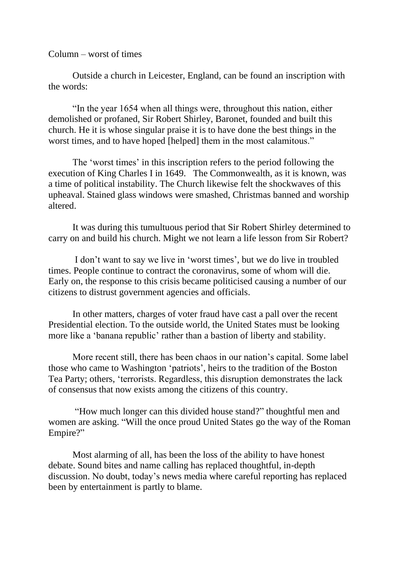Column – worst of times

Outside a church in Leicester, England, can be found an inscription with the words:

"In the year 1654 when all things were, throughout this nation, either demolished or profaned, Sir Robert Shirley, Baronet, founded and built this church. He it is whose singular praise it is to have done the best things in the worst times, and to have hoped [helped] them in the most calamitous."

The 'worst times' in this inscription refers to the period following the execution of King Charles I in 1649. The Commonwealth, as it is known, was a time of political instability. The Church likewise felt the shockwaves of this upheaval. Stained glass windows were smashed, Christmas banned and worship altered.

It was during this tumultuous period that Sir Robert Shirley determined to carry on and build his church. Might we not learn a life lesson from Sir Robert?

I don't want to say we live in 'worst times', but we do live in troubled times. People continue to contract the coronavirus, some of whom will die. Early on, the response to this crisis became politicised causing a number of our citizens to distrust government agencies and officials.

In other matters, charges of voter fraud have cast a pall over the recent Presidential election. To the outside world, the United States must be looking more like a 'banana republic' rather than a bastion of liberty and stability.

More recent still, there has been chaos in our nation's capital. Some label those who came to Washington 'patriots', heirs to the tradition of the Boston Tea Party; others, 'terrorists. Regardless, this disruption demonstrates the lack of consensus that now exists among the citizens of this country.

"How much longer can this divided house stand?" thoughtful men and women are asking. "Will the once proud United States go the way of the Roman Empire?"

Most alarming of all, has been the loss of the ability to have honest debate. Sound bites and name calling has replaced thoughtful, in-depth discussion. No doubt, today's news media where careful reporting has replaced been by entertainment is partly to blame.